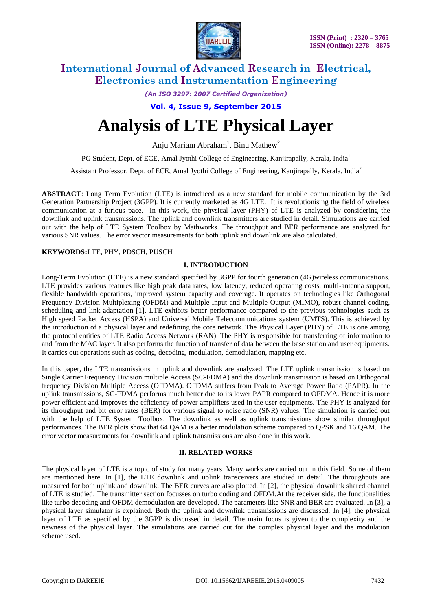

*(An ISO 3297: 2007 Certified Organization)*

**Vol. 4, Issue 9, September 2015**

# **Analysis of LTE Physical Layer**

Anju Mariam Abraham<sup>1</sup>, Binu Mathew<sup>2</sup>

PG Student, Dept. of ECE, Amal Jyothi College of Engineering, Kanjirapally, Kerala, India<sup>1</sup>

Assistant Professor, Dept. of ECE, Amal Jyothi College of Engineering, Kanjirapally, Kerala, India<sup>2</sup>

**ABSTRACT**: Long Term Evolution (LTE) is introduced as a new standard for mobile communication by the 3rd Generation Partnership Project (3GPP). It is currently marketed as 4G LTE. It is revolutionising the field of wireless communication at a furious pace. In this work, the physical layer (PHY) of LTE is analyzed by considering the downlink and uplink transmissions. The uplink and downlink transmitters are studied in detail. Simulations are carried out with the help of LTE System Toolbox by Mathworks. The throughput and BER performance are analyzed for various SNR values. The error vector measurements for both uplink and downlink are also calculated.

### **KEYWORDS:**LTE, PHY, PDSCH, PUSCH

### **I. INTRODUCTION**

Long-Term Evolution (LTE) is a new standard specified by 3GPP for fourth generation (4G)wireless communications. LTE provides various features like high peak data rates, low latency, reduced operating costs, multi-antenna support, flexible bandwidth operations, improved system capacity and coverage. It operates on technologies like Orthogonal Frequency Division Multiplexing (OFDM) and Multiple-Input and Multiple-Output (MIMO), robust channel coding, scheduling and link adaptation [1]. LTE exhibits better performance compared to the previous technologies such as High speed Packet Access (HSPA) and Universal Mobile Telecommunications system (UMTS). This is achieved by the introduction of a physical layer and redefining the core network. The Physical Layer (PHY) of LTE is one among the protocol entities of LTE Radio Access Network (RAN). The PHY is responsible for transferring of information to and from the MAC layer. It also performs the function of transfer of data between the base station and user equipments. It carries out operations such as coding, decoding, modulation, demodulation, mapping etc.

In this paper, the LTE transmissions in uplink and downlink are analyzed. The LTE uplink transmission is based on Single Carrier Frequency Division multiple Access (SC-FDMA) and the downlink transmission is based on Orthogonal frequency Division Multiple Access (OFDMA). OFDMA suffers from Peak to Average Power Ratio (PAPR). In the uplink transmissions, SC-FDMA performs much better due to its lower PAPR compared to OFDMA. Hence it is more power efficient and improves the efficiency of power amplifiers used in the user equipments. The PHY is analyzed for its throughput and bit error rates (BER) for various signal to noise ratio (SNR) values. The simulation is carried out with the help of LTE System Toolbox. The downlink as well as uplink transmissions show similar throughput performances. The BER plots show that 64 QAM is a better modulation scheme compared to QPSK and 16 QAM. The error vector measurements for downlink and uplink transmissions are also done in this work.

### **II. RELATED WORKS**

The physical layer of LTE is a topic of study for many years. Many works are carried out in this field. Some of them are mentioned here. In [1], the LTE downlink and uplink transceivers are studied in detail. The throughputs are measured for both uplink and downlink. The BER curves are also plotted. In [2], the physical downlink shared channel of LTE is studied. The transmitter section focusses on turbo coding and OFDM.At the receiver side, the functionalities like turbo decoding and OFDM demodulation are developed. The parameters like SNR and BER are evaluated. In [3], a physical layer simulator is explained. Both the uplink and downlink transmissions are discussed. In [4], the physical layer of LTE as specified by the 3GPP is discussed in detail. The main focus is given to the complexity and the newness of the physical layer. The simulations are carried out for the complex physical layer and the modulation scheme used.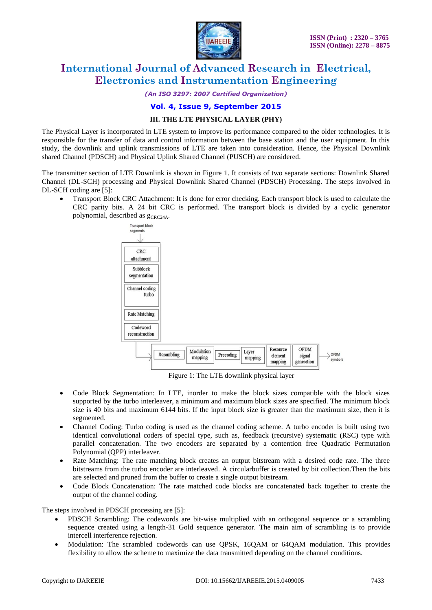

*(An ISO 3297: 2007 Certified Organization)*

### **Vol. 4, Issue 9, September 2015**

### **III. THE LTE PHYSICAL LAYER (PHY)**

The Physical Layer is incorporated in LTE system to improve its performance compared to the older technologies. It is responsible for the transfer of data and control information between the base station and the user equipment. In this study, the downlink and uplink transmissions of LTE are taken into consideration. Hence, the Physical Downlink shared Channel (PDSCH) and Physical Uplink Shared Channel (PUSCH) are considered.

The transmitter section of LTE Downlink is shown in Figure 1. It consists of two separate sections: Downlink Shared Channel (DL-SCH) processing and Physical Downlink Shared Channel (PDSCH) Processing. The steps involved in DL-SCH coding are [5]:

 Transport Block CRC Attachment: It is done for error checking. Each transport block is used to calculate the CRC parity bits. A 24 bit CRC is performed. The transport block is divided by a cyclic generator polynomial, described as  $g_{CRC24A}$ .



Figure 1: The LTE downlink physical layer

- Code Block Segmentation: In LTE, inorder to make the block sizes compatible with the block sizes supported by the turbo interleaver, a minimum and maximum block sizes are specified. The minimum block size is 40 bits and maximum 6144 bits. If the input block size is greater than the maximum size, then it is segmented.
- Channel Coding: Turbo coding is used as the channel coding scheme. A turbo encoder is built using two identical convolutional coders of special type, such as, feedback (recursive) systematic (RSC) type with parallel concatenation. The two encoders are separated by a contention free Quadratic Permutation Polynomial (QPP) interleaver.
- Rate Matching: The rate matching block creates an output bitstream with a desired code rate. The three bitstreams from the turbo encoder are interleaved. A circularbuffer is created by bit collection.Then the bits are selected and pruned from the buffer to create a single output bitstream.
- Code Block Concatenation: The rate matched code blocks are concatenated back together to create the output of the channel coding.

The steps involved in PDSCH processing are [5]:

- PDSCH Scrambling: The codewords are bit-wise multiplied with an orthogonal sequence or a scrambling sequence created using a length-31 Gold sequence generator. The main aim of scrambling is to provide intercell interference rejection.
- Modulation: The scrambled codewords can use QPSK, 16QAM or 64QAM modulation. This provides flexibility to allow the scheme to maximize the data transmitted depending on the channel conditions.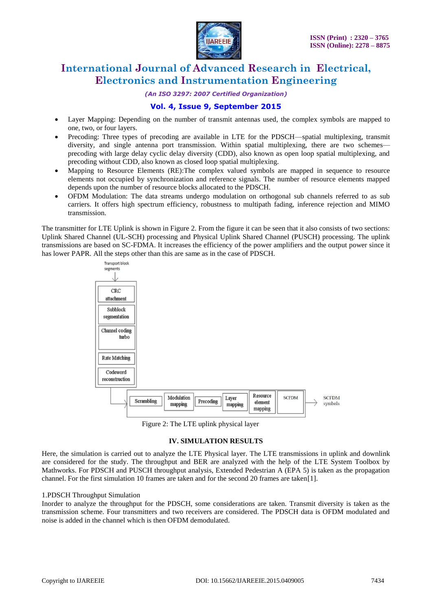

*(An ISO 3297: 2007 Certified Organization)*

### **Vol. 4, Issue 9, September 2015**

- Layer Mapping: Depending on the number of transmit antennas used, the complex symbols are mapped to one, two, or four layers.
- Precoding: Three types of precoding are available in LTE for the PDSCH—spatial multiplexing, transmit diversity, and single antenna port transmission. Within spatial multiplexing, there are two schemes precoding with large delay cyclic delay diversity (CDD), also known as open loop spatial multiplexing, and precoding without CDD, also known as closed loop spatial multiplexing.
- Mapping to Resource Elements (RE):The complex valued symbols are mapped in sequence to resource elements not occupied by synchronization and reference signals. The number of resource elements mapped depends upon the number of resource blocks allocated to the PDSCH.
- OFDM Modulation: The data streams undergo modulation on orthogonal sub channels referred to as sub carriers. It offers high spectrum efficiency, robustness to multipath fading, inference rejection and MIMO transmission.

The transmitter for LTE Uplink is shown in Figure 2. From the figure it can be seen that it also consists of two sections: Uplink Shared Channel (UL-SCH) processing and Physical Uplink Shared Channel (PUSCH) processing. The uplink transmissions are based on SC-FDMA. It increases the efficiency of the power amplifiers and the output power since it has lower PAPR. All the steps other than this are same as in the case of PDSCH.



Figure 2: The LTE uplink physical layer

### **IV. SIMULATION RESULTS**

Here, the simulation is carried out to analyze the LTE Physical layer. The LTE transmissions in uplink and downlink are considered for the study. The throughput and BER are analyzed with the help of the LTE System Toolbox by Mathworks. For PDSCH and PUSCH throughput analysis, Extended Pedestrian A (EPA 5) is taken as the propagation channel. For the first simulation 10 frames are taken and for the second 20 frames are taken[1].

### 1.PDSCH Throughput Simulation

Inorder to analyze the throughput for the PDSCH, some considerations are taken. Transmit diversity is taken as the transmission scheme. Four transmitters and two receivers are considered. The PDSCH data is OFDM modulated and noise is added in the channel which is then OFDM demodulated.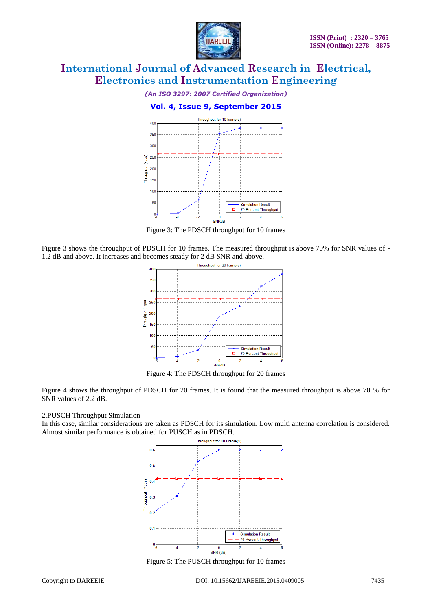

#### *(An ISO 3297: 2007 Certified Organization)*

### **Vol. 4, Issue 9, September 2015**



Figure 3: The PDSCH throughput for 10 frames

Figure 3 shows the throughput of PDSCH for 10 frames. The measured throughput is above 70% for SNR values of - 1.2 dB and above. It increases and becomes steady for 2 dB SNR and above.



Figure 4: The PDSCH throughput for 20 frames

Figure 4 shows the throughput of PDSCH for 20 frames. It is found that the measured throughput is above 70 % for SNR values of 2.2 dB.

#### 2.PUSCH Throughput Simulation

In this case, similar considerations are taken as PDSCH for its simulation. Low multi antenna correlation is considered. Almost similar performance is obtained for PUSCH as in PDSCH.



Figure 5: The PUSCH throughput for 10 frames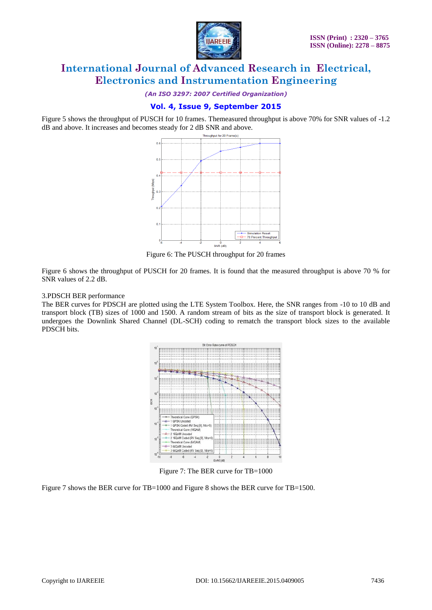

*(An ISO 3297: 2007 Certified Organization)*

### **Vol. 4, Issue 9, September 2015**

Figure 5 shows the throughput of PUSCH for 10 frames. Themeasured throughput is above 70% for SNR values of -1.2 dB and above. It increases and becomes steady for 2 dB SNR and above.



Figure 6: The PUSCH throughput for 20 frames

Figure 6 shows the throughput of PUSCH for 20 frames. It is found that the measured throughput is above 70 % for SNR values of 2.2 dB.

### 3.PDSCH BER performance

The BER curves for PDSCH are plotted using the LTE System Toolbox. Here, the SNR ranges from -10 to 10 dB and transport block (TB) sizes of 1000 and 1500. A random stream of bits as the size of transport block is generated. It undergoes the Downlink Shared Channel (DL-SCH) coding to rematch the transport block sizes to the available PDSCH bits.



Figure 7: The BER curve for TB=1000

Figure 7 shows the BER curve for TB=1000 and Figure 8 shows the BER curve for TB=1500.